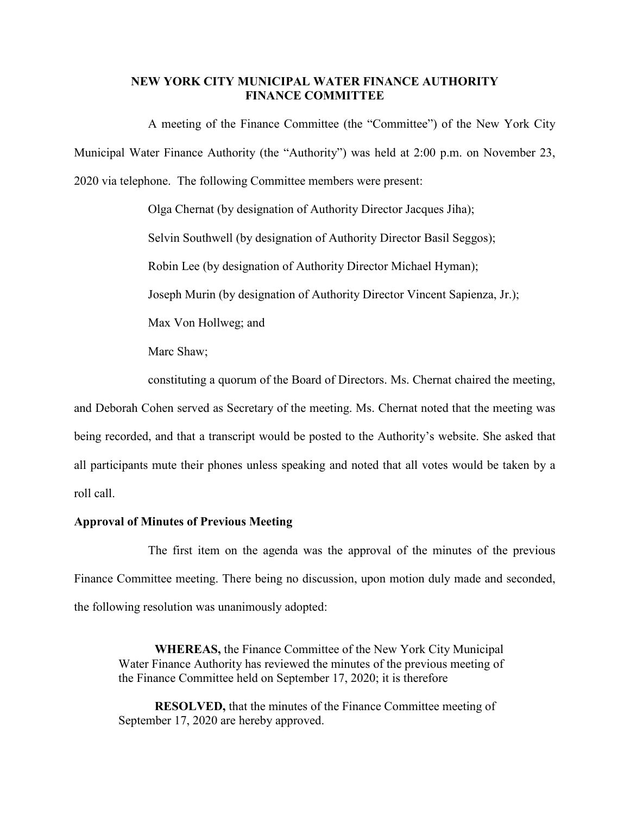## **NEW YORK CITY MUNICIPAL WATER FINANCE AUTHORITY FINANCE COMMITTEE**

A meeting of the Finance Committee (the "Committee") of the New York City Municipal Water Finance Authority (the "Authority") was held at 2:00 p.m. on November 23, 2020 via telephone. The following Committee members were present:

> Olga Chernat (by designation of Authority Director Jacques Jiha); Selvin Southwell (by designation of Authority Director Basil Seggos); Robin Lee (by designation of Authority Director Michael Hyman); Joseph Murin (by designation of Authority Director Vincent Sapienza, Jr.); Max Von Hollweg; and Marc Shaw; constituting a quorum of the Board of Directors. Ms. Chernat chaired the meeting,

and Deborah Cohen served as Secretary of the meeting. Ms. Chernat noted that the meeting was being recorded, and that a transcript would be posted to the Authority's website. She asked that all participants mute their phones unless speaking and noted that all votes would be taken by a roll call.

## **Approval of Minutes of Previous Meeting**

The first item on the agenda was the approval of the minutes of the previous Finance Committee meeting. There being no discussion, upon motion duly made and seconded, the following resolution was unanimously adopted:

**WHEREAS,** the Finance Committee of the New York City Municipal Water Finance Authority has reviewed the minutes of the previous meeting of the Finance Committee held on September 17, 2020; it is therefore

**RESOLVED,** that the minutes of the Finance Committee meeting of September 17, 2020 are hereby approved.